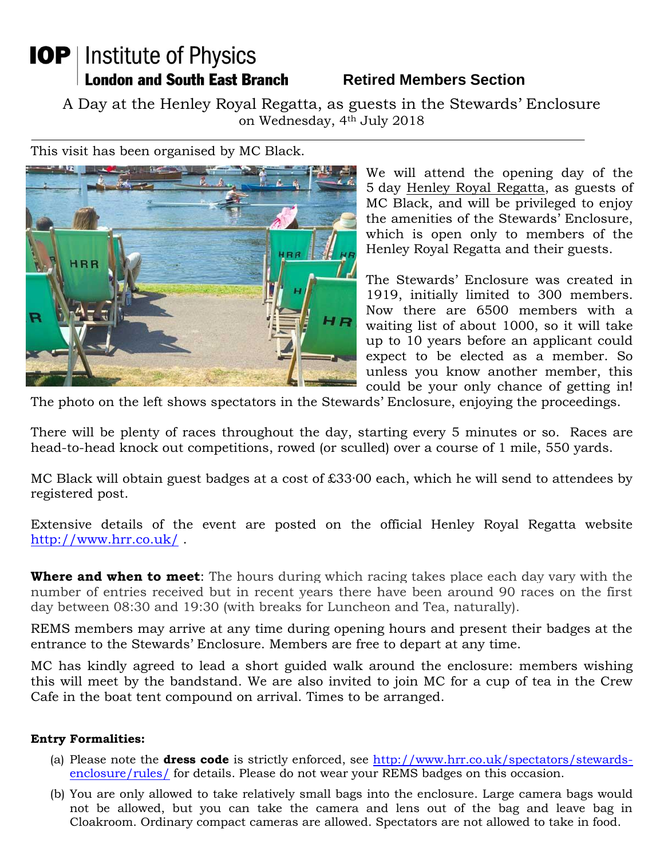## **IOP** | Institute of Physics **London and South East Branch**

## **Retired Members Section**

A Day at the Henley Royal Regatta, as guests in the Stewards' Enclosure on Wednesday, 4th July 2018

This visit has been organised by MC Black.



We will attend the opening day of the 5 day Henley Royal Regatta, as guests of MC Black, and will be privileged to enjoy the amenities of the Stewards' Enclosure, which is open only to members of the Henley Royal Regatta and their guests.

The Stewards' Enclosure was created in 1919, initially limited to 300 members. Now there are 6500 members with a waiting list of about 1000, so it will take up to 10 years before an applicant could expect to be elected as a member. So unless you know another member, this could be your only chance of getting in!

The photo on the left shows spectators in the Stewards' Enclosure, enjoying the proceedings.

There will be plenty of races throughout the day, starting every 5 minutes or so. Races are head-to-head knock out competitions, rowed (or sculled) over a course of 1 mile, 550 yards.

MC Black will obtain guest badges at a cost of £33·00 each, which he will send to attendees by registered post.

Extensive details of the event are posted on the official Henley Royal Regatta website <http://www.hrr.co.uk/> .

**Where and when to meet**: The hours during which racing takes place each day vary with the number of entries received but in recent years there have been around 90 races on the first day between 08:30 and 19:30 (with breaks for Luncheon and Tea, naturally).

REMS members may arrive at any time during opening hours and present their badges at the entrance to the Stewards' Enclosure. Members are free to depart at any time.

MC has kindly agreed to lead a short guided walk around the enclosure: members wishing this will meet by the bandstand. We are also invited to join MC for a cup of tea in the Crew Cafe in the boat tent compound on arrival. Times to be arranged.

## **Entry Formalities:**

- (a) Please note the **dress code** is strictly enforced, see [http://www.hrr.co.uk/spectators/stewards](http://www.hrr.co.uk/spectators/stewards-enclosure/rules/)[enclosure/rules/](http://www.hrr.co.uk/spectators/stewards-enclosure/rules/) for details. Please do not wear your REMS badges on this occasion.
- (b) You are only allowed to take relatively small bags into the enclosure. Large camera bags would not be allowed, but you can take the camera and lens out of the bag and leave bag in Cloakroom. Ordinary compact cameras are allowed. Spectators are not allowed to take in food.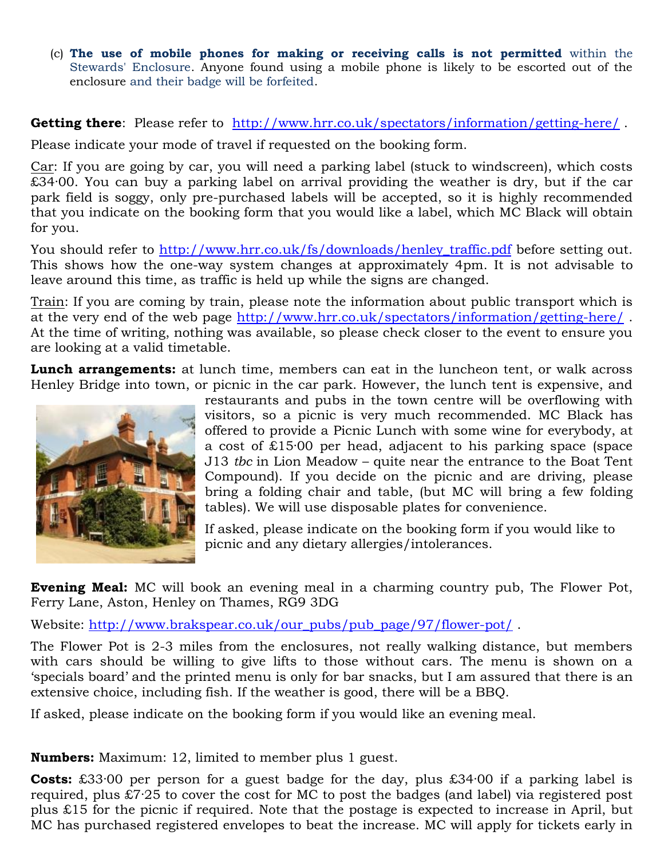(c) **The use of mobile phones for making or receiving calls is not permitted** within the Stewards' Enclosure. Anyone found using a mobile phone is likely to be escorted out of the enclosure and their badge will be forfeited.

**Getting there**: Please refer to <http://www.hrr.co.uk/spectators/information/getting-here/>.

Please indicate your mode of travel if requested on the booking form.

Car: If you are going by car, you will need a parking label (stuck to windscreen), which costs  $\overline{£34}$ ·00. You can buy a parking label on arrival providing the weather is dry, but if the car park field is soggy, only pre-purchased labels will be accepted, so it is highly recommended that you indicate on the booking form that you would like a label, which MC Black will obtain for you.

You should refer to [http://www.hrr.co.uk/fs/downloads/henley\\_traffic.pdf](http://www.hrr.co.uk/fs/downloads/henley_traffic.pdf) before setting out. This shows how the one-way system changes at approximately 4pm. It is not advisable to leave around this time, as traffic is held up while the signs are changed.

Train: If you are coming by train, please note the information about public transport which is at the very end of the web page<http://www.hrr.co.uk/spectators/information/getting-here/> . At the time of writing, nothing was available, so please check closer to the event to ensure you are looking at a valid timetable.

**Lunch arrangements:** at lunch time, members can eat in the luncheon tent, or walk across Henley Bridge into town, or picnic in the car park. However, the lunch tent is expensive, and



restaurants and pubs in the town centre will be overflowing with visitors, so a picnic is very much recommended. MC Black has offered to provide a Picnic Lunch with some wine for everybody, at a cost of £15·00 per head, adjacent to his parking space (space J13 *tbc* in Lion Meadow – quite near the entrance to the Boat Tent Compound). If you decide on the picnic and are driving, please bring a folding chair and table, (but MC will bring a few folding tables). We will use disposable plates for convenience.

If asked, please indicate on the booking form if you would like to picnic and any dietary allergies/intolerances.

**Evening Meal:** MC will book an evening meal in a charming country pub, The Flower Pot, Ferry Lane, Aston, Henley on Thames, RG9 3DG

Website: [http://www.brakspear.co.uk/our\\_pubs/pub\\_page/97/flower-pot/](http://www.brakspear.co.uk/our_pubs/pub_page/97/flower-pot/) .

The Flower Pot is 2-3 miles from the enclosures, not really walking distance, but members with cars should be willing to give lifts to those without cars. The menu is shown on a 'specials board' and the printed menu is only for bar snacks, but I am assured that there is an extensive choice, including fish. If the weather is good, there will be a BBQ.

If asked, please indicate on the booking form if you would like an evening meal.

**Numbers:** Maximum: 12, limited to member plus 1 guest.

**Costs:** £33·00 per person for a guest badge for the day, plus £34·00 if a parking label is required, plus £7·25 to cover the cost for MC to post the badges (and label) via registered post plus £15 for the picnic if required. Note that the postage is expected to increase in April, but MC has purchased registered envelopes to beat the increase. MC will apply for tickets early in